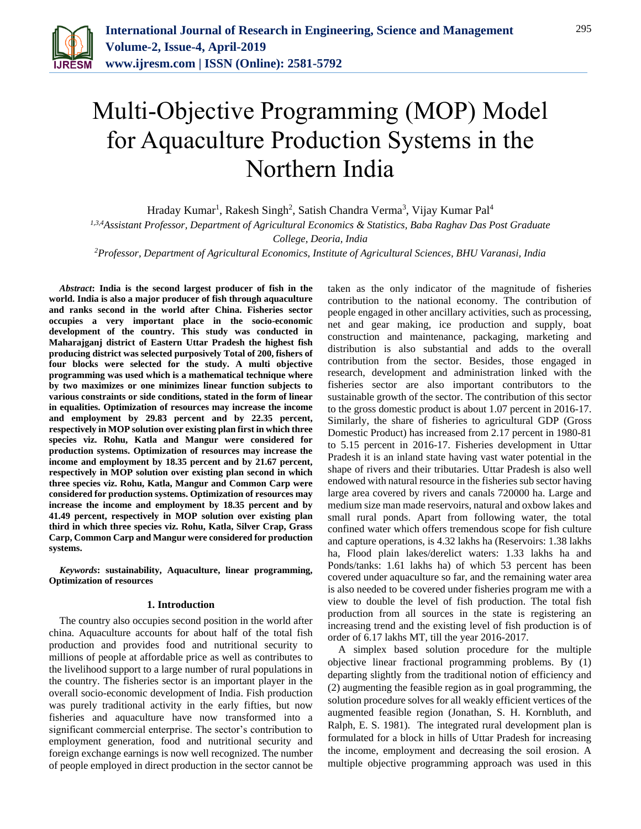

# Multi-Objective Programming (MOP) Model for Aquaculture Production Systems in the Northern India

Hraday Kumar<sup>1</sup>, Rakesh Singh<sup>2</sup>, Satish Chandra Verma<sup>3</sup>, Vijay Kumar Pal<sup>4</sup>

*1,3,4Assistant Professor, Department of Agricultural Economics & Statistics, Baba Raghav Das Post Graduate* 

*College, Deoria, India*

*2Professor, Department of Agricultural Economics, Institute of Agricultural Sciences, BHU Varanasi, India*

*Abstract***: India is the second largest producer of fish in the world. India is also a major producer of fish through aquaculture and ranks second in the world after China. Fisheries sector occupies a very important place in the socio-economic development of the country. This study was conducted in Maharajganj district of Eastern Uttar Pradesh the highest fish producing district was selected purposively Total of 200, fishers of four blocks were selected for the study. A multi objective programming was used which is a mathematical technique where by two maximizes or one minimizes linear function subjects to various constraints or side conditions, stated in the form of linear in equalities. Optimization of resources may increase the income and employment by 29.83 percent and by 22.35 percent, respectively in MOP solution over existing plan first in which three species viz. Rohu, Katla and Mangur were considered for production systems. Optimization of resources may increase the income and employment by 18.35 percent and by 21.67 percent, respectively in MOP solution over existing plan second in which three species viz. Rohu, Katla, Mangur and Common Carp were considered for production systems. Optimization of resources may increase the income and employment by 18.35 percent and by 41.49 percent, respectively in MOP solution over existing plan third in which three species viz. Rohu, Katla, Silver Crap, Grass Carp, Common Carp and Mangur were considered for production systems.**

*Keywords***: sustainability, Aquaculture, linear programming, Optimization of resources**

## **1. Introduction**

The country also occupies second position in the world after china. Aquaculture accounts for about half of the total fish production and provides food and nutritional security to millions of people at affordable price as well as contributes to the livelihood support to a large number of rural populations in the country. The fisheries sector is an important player in the overall socio-economic development of India. Fish production was purely traditional activity in the early fifties, but now fisheries and aquaculture have now transformed into a significant commercial enterprise. The sector's contribution to employment generation, food and nutritional security and foreign exchange earnings is now well recognized. The number of people employed in direct production in the sector cannot be

taken as the only indicator of the magnitude of fisheries contribution to the national economy. The contribution of people engaged in other ancillary activities, such as processing, net and gear making, ice production and supply, boat construction and maintenance, packaging, marketing and distribution is also substantial and adds to the overall contribution from the sector. Besides, those engaged in research, development and administration linked with the fisheries sector are also important contributors to the sustainable growth of the sector. The contribution of this sector to the gross domestic product is about 1.07 percent in 2016-17. Similarly, the share of fisheries to agricultural GDP (Gross Domestic Product) has increased from 2.17 percent in 1980-81 to 5.15 percent in 2016-17. Fisheries development in Uttar Pradesh it is an inland state having vast water potential in the shape of rivers and their tributaries. Uttar Pradesh is also well endowed with natural resource in the fisheries sub sector having large area covered by rivers and canals 720000 ha. Large and medium size man made reservoirs, natural and oxbow lakes and small rural ponds. Apart from following water, the total confined water which offers tremendous scope for fish culture and capture operations, is 4.32 lakhs ha (Reservoirs: 1.38 lakhs ha, Flood plain lakes/derelict waters: 1.33 lakhs ha and Ponds/tanks: 1.61 lakhs ha) of which 53 percent has been covered under aquaculture so far, and the remaining water area is also needed to be covered under fisheries program me with a view to double the level of fish production. The total fish production from all sources in the state is registering an increasing trend and the existing level of fish production is of order of 6.17 lakhs MT, till the year 2016-2017.

A simplex based solution procedure for the multiple objective linear fractional programming problems. By (1) departing slightly from the traditional notion of efficiency and (2) augmenting the feasible region as in goal programming, the solution procedure solves for all weakly efficient vertices of the augmented feasible region (Jonathan, S. H. Kornbluth, and Ralph, E. S. 1981). The integrated rural development plan is formulated for a block in hills of Uttar Pradesh for increasing the income, employment and decreasing the soil erosion. A multiple objective programming approach was used in this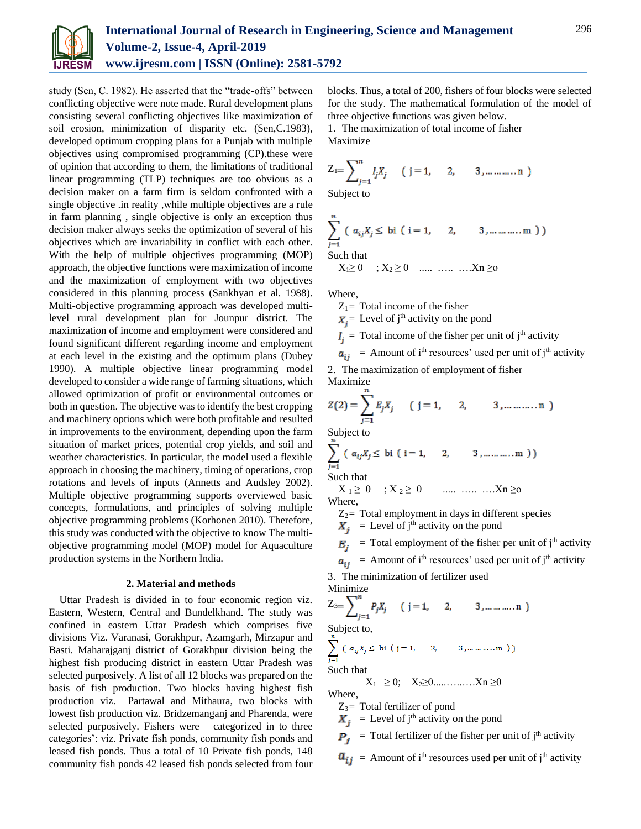

study (Sen, C. 1982). He asserted that the "trade-offs" between conflicting objective were note made. Rural development plans consisting several conflicting objectives like maximization of soil erosion, minimization of disparity etc. (Sen,C.1983), developed optimum cropping plans for a Punjab with multiple objectives using compromised programming (CP).these were of opinion that according to them, the limitations of traditional linear programming (TLP) techniques are too obvious as a decision maker on a farm firm is seldom confronted with a single objective .in reality ,while multiple objectives are a rule in farm planning , single objective is only an exception thus decision maker always seeks the optimization of several of his objectives which are invariability in conflict with each other. With the help of multiple objectives programming (MOP) approach, the objective functions were maximization of income and the maximization of employment with two objectives considered in this planning process (Sankhyan et al. 1988). Multi-objective programming approach was developed multilevel rural development plan for Jounpur district. The maximization of income and employment were considered and found significant different regarding income and employment at each level in the existing and the optimum plans (Dubey 1990). A multiple objective linear programming model developed to consider a wide range of farming situations, which allowed optimization of profit or environmental outcomes or both in question. The objective was to identify the best cropping and machinery options which were both profitable and resulted in improvements to the environment, depending upon the farm situation of market prices, potential crop yields, and soil and weather characteristics. In particular, the model used a flexible approach in choosing the machinery, timing of operations, crop rotations and levels of inputs (Annetts and Audsley 2002). Multiple objective programming supports overviewed basic concepts, formulations, and principles of solving multiple objective programming problems (Korhonen 2010). Therefore, this study was conducted with the objective to know The multiobjective programming model (MOP) model for Aquaculture production systems in the Northern India.

### **2. Material and methods**

Uttar Pradesh is divided in to four economic region viz. Eastern, Western, Central and Bundelkhand. The study was confined in eastern Uttar Pradesh which comprises five divisions Viz. Varanasi, Gorakhpur, Azamgarh, Mirzapur and Basti. Maharajganj district of Gorakhpur division being the highest fish producing district in eastern Uttar Pradesh was selected purposively. A list of all 12 blocks was prepared on the basis of fish production. Two blocks having highest fish production viz. Partawal and Mithaura, two blocks with lowest fish production viz. Bridzemanganj and Pharenda, were selected purposively. Fishers were categorized in to three categories': viz. Private fish ponds, community fish ponds and leased fish ponds. Thus a total of 10 Private fish ponds, 148 community fish ponds 42 leased fish ponds selected from four

blocks. Thus, a total of 200, fishers of four blocks were selected for the study. The mathematical formulation of the model of three objective functions was given below.

1. The maximization of total income of fisher Maximize

$$
Z_{1} = \sum_{j=1}^{n} I_j X_j \qquad (j = 1, \quad 2, \quad 3, \dots \dots \dots n)
$$

Subject to

$$
\sum_{j=1}^{n} (a_{ij}X_j \leq \text{bi} (i=1, 2, 3, \dots \dots \dots \dots))
$$

Such that

$$
X_1 \ge 0
$$
 ;  $X_2 \ge 0$  ...... ......  $Xn \ge 0$ 

Where,

 $Z_1$ = Total income of the fisher

 $X_i$ = Level of j<sup>th</sup> activity on the pond

 $I_i$  = Total income of the fisher per unit of j<sup>th</sup> activity

$$
a_{ij}
$$
 = Amount of i<sup>th</sup> resources' used per unit of j<sup>th</sup> activity

2. The maximization of employment of fisher Maximize

$$
Z(2) = \sum_{j=1}^{n} E_j X_j \qquad (j = 1, 2, 3, \dots, n)
$$

Subject to

$$
\sum_{j=1}^{\infty} (a_{ij}X_j \leq \text{bi} (i=1, 2, 3, \dots \dots \dots m))
$$

Such that

$$
X_1 \ge 0 \quad ; X_2 \ge 0 \quad \dots \dots \dots \dots X_n \ge 0
$$
  
Where,

 $Z_2$ = Total employment in days in different species  $X_i$  = Level of j<sup>th</sup> activity on the pond

$$
E_j
$$
 = Total employment of the fisher per unit of j<sup>th</sup> activity

 $a_{ij}$  = Amount of i<sup>th</sup> resources' used per unit of j<sup>th</sup> activity

3. The minimization of fertilizer used Minimize

$$
Z_{3} = \sum_{j=1}^{n} P_j X_j \quad (j = 1, \quad 2, \quad 3, \dots \dots \dots n)
$$

Subject to,

$$
\sum_{j=1}^{n} (a_{ij}X_j \leq \text{bi} (j=1, 2, 3, \dots \dots \dots \dots))
$$

Such that

X1 ≥ 0; X2≥0.....…..….Xn ≥0 Where,

 $Z_3$ = Total fertilizer of pond

 $X_i$  = Level of j<sup>th</sup> activity on the pond

 $\mathbf{P}_i$  = Total fertilizer of the fisher per unit of j<sup>th</sup> activity

 $a_{ij}$  = Amount of i<sup>th</sup> resources used per unit of j<sup>th</sup> activity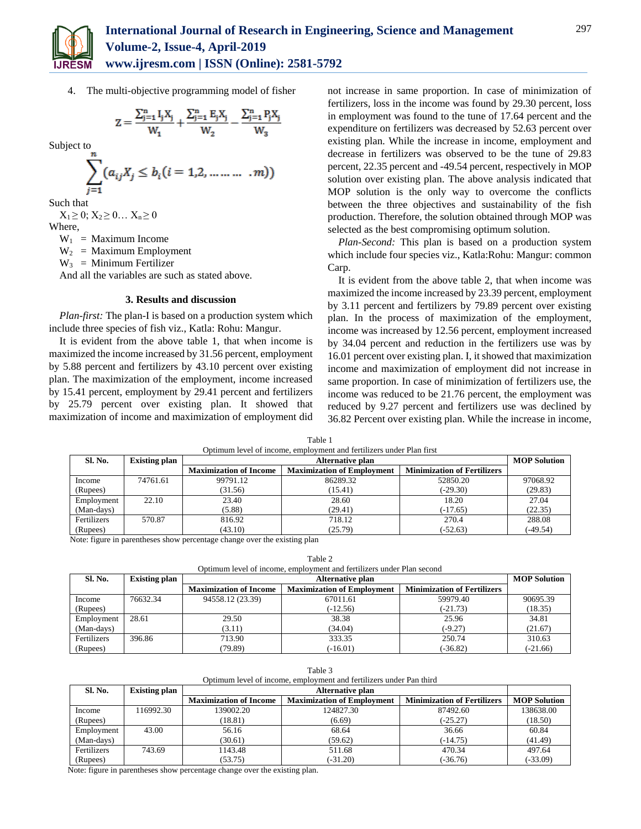

4. The multi-objective programming model of fisher

$$
Z = \frac{\sum_{j=1}^{n} I_j X_j}{W_1} + \frac{\sum_{j=1}^{n} E_j X_j}{W_2} - \frac{\sum_{j=1}^{n} P_j X_j}{W_2}
$$

Subject to

$$
\sum_{j=1}^{n} (a_{ij}X_j \le b_i (i = 1, 2, \dots \dots \dots \dots m))
$$

Such that

 $X_1 \geq 0$ ;  $X_2 \geq 0$ ...  $X_n \geq 0$ Where,

 $W_1$  = Maximum Income

 $W_2$  = Maximum Employment

 $W_3$  = Minimum Fertilizer

And all the variables are such as stated above.

# **3. Results and discussion**

*Plan-first:* The plan-I is based on a production system which include three species of fish viz., Katla: Rohu: Mangur.

It is evident from the above table 1, that when income is maximized the income increased by 31.56 percent, employment by 5.88 percent and fertilizers by 43.10 percent over existing plan. The maximization of the employment, income increased by 15.41 percent, employment by 29.41 percent and fertilizers by 25.79 percent over existing plan. It showed that maximization of income and maximization of employment did not increase in same proportion. In case of minimization of fertilizers, loss in the income was found by 29.30 percent, loss in employment was found to the tune of 17.64 percent and the expenditure on fertilizers was decreased by 52.63 percent over existing plan. While the increase in income, employment and decrease in fertilizers was observed to be the tune of 29.83 percent, 22.35 percent and -49.54 percent, respectively in MOP solution over existing plan. The above analysis indicated that MOP solution is the only way to overcome the conflicts between the three objectives and sustainability of the fish production. Therefore, the solution obtained through MOP was selected as the best compromising optimum solution.

*Plan-Second:* This plan is based on a production system which include four species viz., Katla:Rohu: Mangur: common Carp.

It is evident from the above table 2, that when income was maximized the income increased by 23.39 percent, employment by 3.11 percent and fertilizers by 79.89 percent over existing plan. In the process of maximization of the employment, income was increased by 12.56 percent, employment increased by 34.04 percent and reduction in the fertilizers use was by 16.01 percent over existing plan. I, it showed that maximization income and maximization of employment did not increase in same proportion. In case of minimization of fertilizers use, the income was reduced to be 21.76 percent, the employment was reduced by 9.27 percent and fertilizers use was declined by 36.82 Percent over existing plan. While the increase in income,

| <b>Sl. No.</b> | <b>Existing plan</b> | <b>Alternative plan</b>       |                                   |                                    | <b>MOP Solution</b> |
|----------------|----------------------|-------------------------------|-----------------------------------|------------------------------------|---------------------|
|                |                      | <b>Maximization of Income</b> | <b>Maximization of Employment</b> | <b>Minimization of Fertilizers</b> |                     |
| Income         | 74761.61             | 99791.12                      | 86289.32                          | 52850.20                           | 97068.92            |
| (Rupees)       |                      | (31.56)                       | (15.41)                           | $(-29.30)$                         | (29.83)             |
| Employment     | 22.10                | 23.40                         | 28.60                             | 18.20                              | 27.04               |
| (Man-days)     |                      | (5.88)                        | (29.41)                           | $(-17.65)$                         | (22.35)             |
| Fertilizers    | 570.87               | 816.92                        | 718.12                            | 270.4                              | 288.08              |
| (Rupees)       |                      | (43.10)                       | (25.79)                           | $(-52.63)$                         | $-49.54$            |

Table 1 Optimum level of income, employment and fertilizers under Plan first

Note: figure in parentheses show percentage change over the existing plan

Table 2

| Optimum level of income, employment and fertilizers under Plan second |                      |                               |                                   |                                    |            |  |  |  |
|-----------------------------------------------------------------------|----------------------|-------------------------------|-----------------------------------|------------------------------------|------------|--|--|--|
| Sl. No.                                                               | <b>Existing plan</b> |                               | <b>MOP Solution</b>               |                                    |            |  |  |  |
|                                                                       |                      | <b>Maximization of Income</b> | <b>Maximization of Employment</b> | <b>Minimization of Fertilizers</b> |            |  |  |  |
| Income                                                                | 76632.34             | 94558.12 (23.39)              | 67011.61                          | 59979.40                           | 90695.39   |  |  |  |
| (Rupees)                                                              |                      |                               | $(-12.56)$                        | $(-21.73)$                         | (18.35)    |  |  |  |
| Employment                                                            | 28.61                | 29.50                         | 38.38                             | 25.96                              | 34.81      |  |  |  |
| (Man-days)                                                            |                      | (3.11)                        | (34.04)                           | $(-9.27)$                          | (21.67)    |  |  |  |
| Fertilizers                                                           | 396.86               | 713.90                        | 333.35                            | 250.74                             | 310.63     |  |  |  |
| (Rupees)                                                              |                      | (79.89)                       | $(-16.01)$                        | $(-36.82)$                         | $(-21.66)$ |  |  |  |

| Table 3                                                                                                     |                      |                               |                                   |                                    |                     |  |  |  |
|-------------------------------------------------------------------------------------------------------------|----------------------|-------------------------------|-----------------------------------|------------------------------------|---------------------|--|--|--|
| Optimum level of income, employment and fertilizers under Pan third                                         |                      |                               |                                   |                                    |                     |  |  |  |
| Sl. No.                                                                                                     | <b>Existing plan</b> |                               |                                   |                                    |                     |  |  |  |
|                                                                                                             |                      | <b>Maximization of Income</b> | <b>Maximization of Employment</b> | <b>Minimization of Fertilizers</b> | <b>MOP Solution</b> |  |  |  |
| Income                                                                                                      | 16992.30             | 139002.20                     | 124827.30                         | 87492.60                           | 138638.00           |  |  |  |
| (Rupees)                                                                                                    |                      | (18.81)                       | (6.69)                            | $(-25.27)$                         | (18.50)             |  |  |  |
| Employment                                                                                                  | 43.00                | 56.16                         | 68.64                             | 36.66                              | 60.84               |  |  |  |
| (Man-days)                                                                                                  |                      | (30.61)                       | (59.62)                           | $(-14.75)$                         | (41.49)             |  |  |  |
| Fertilizers                                                                                                 | 743.69               | 1143.48                       | 511.68                            | 470.34                             | 497.64              |  |  |  |
| (Rupees)                                                                                                    |                      | (53.75)                       | $(-31.20)$                        | $(-36.76)$                         | $(-33.09)$          |  |  |  |
| $\mathbf{M}$ , and $\mathbf{M}$ , and $\mathbf{M}$ , and $\mathbf{M}$ , and $\mathbf{M}$ , and $\mathbf{M}$ |                      |                               |                                   |                                    |                     |  |  |  |

Note: figure in parentheses show percentage change over the existing plan.